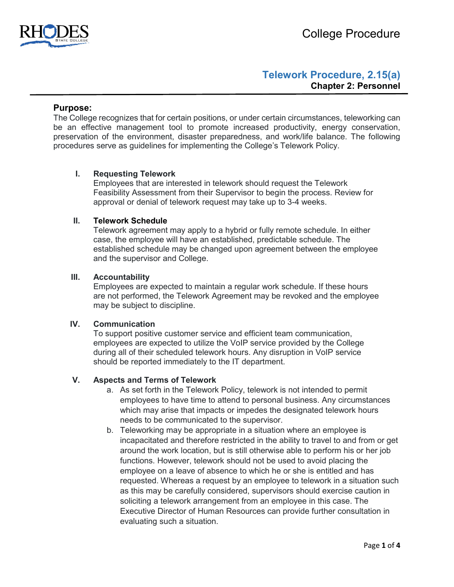

# **Telework Procedure, 2.15(a) Chapter 2: Personnel**

### **Purpose:**

The College recognizes that for certain positions, or under certain circumstances, teleworking can be an effective management tool to promote increased productivity, energy conservation, preservation of the environment, disaster preparedness, and work/life balance. The following procedures serve as guidelines for implementing the College's Telework Policy.

### **I. Requesting Telework**

Employees that are interested in telework should request the Telework Feasibility Assessment from their Supervisor to begin the process. Review for approval or denial of telework request may take up to 3-4 weeks.

#### **II. Telework Schedule**

Telework agreement may apply to a hybrid or fully remote schedule. In either case, the employee will have an established, predictable schedule. The established schedule may be changed upon agreement between the employee and the supervisor and College.

## **III. Accountability**

Employees are expected to maintain a regular work schedule. If these hours are not performed, the Telework Agreement may be revoked and the employee may be subject to discipline.

#### **IV. Communication**

To support positive customer service and efficient team communication, employees are expected to utilize the VoIP service provided by the College during all of their scheduled telework hours. Any disruption in VoIP service should be reported immediately to the IT department.

### **V. Aspects and Terms of Telework**

- a. As set forth in the Telework Policy, telework is not intended to permit employees to have time to attend to personal business. Any circumstances which may arise that impacts or impedes the designated telework hours needs to be communicated to the supervisor.
- b. Teleworking may be appropriate in a situation where an employee is incapacitated and therefore restricted in the ability to travel to and from or get around the work location, but is still otherwise able to perform his or her job functions. However, telework should not be used to avoid placing the employee on a leave of absence to which he or she is entitled and has requested. Whereas a request by an employee to telework in a situation such as this may be carefully considered, supervisors should exercise caution in soliciting a telework arrangement from an employee in this case. The Executive Director of Human Resources can provide further consultation in evaluating such a situation.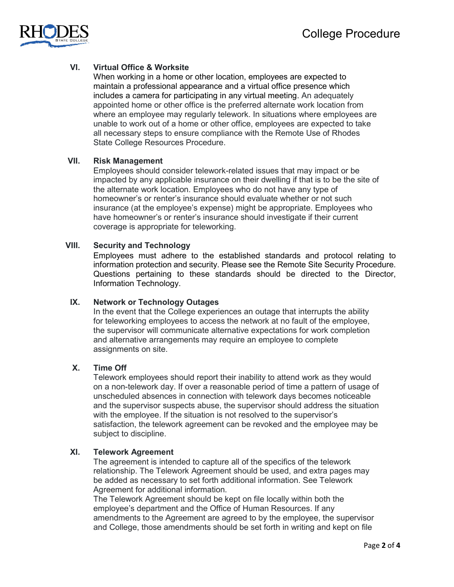

# **VI. Virtual Office & Worksite**

When working in a home or other location, employees are expected to maintain a professional appearance and a virtual office presence which includes a camera for participating in any virtual meeting. An adequately appointed home or other office is the preferred alternate work location from where an employee may regularly telework. In situations where employees are unable to work out of a home or other office, employees are expected to take all necessary steps to ensure compliance with the Remote Use of Rhodes State College Resources Procedure.

### **VII. Risk Management**

Employees should consider telework-related issues that may impact or be impacted by any applicable insurance on their dwelling if that is to be the site of the alternate work location. Employees who do not have any type of homeowner's or renter's insurance should evaluate whether or not such insurance (at the employee's expense) might be appropriate. Employees who have homeowner's or renter's insurance should investigate if their current coverage is appropriate for teleworking.

# **VIII. Security and Technology**

Employees must adhere to the established standards and protocol relating to information protection and security. Please see the Remote Site Security Procedure. Questions pertaining to these standards should be directed to the Director, Information Technology.

# **IX. Network or Technology Outages**

In the event that the College experiences an outage that interrupts the ability for teleworking employees to access the network at no fault of the employee, the supervisor will communicate alternative expectations for work completion and alternative arrangements may require an employee to complete assignments on site.

# **X. Time Off**

Telework employees should report their inability to attend work as they would on a non-telework day. If over a reasonable period of time a pattern of usage of unscheduled absences in connection with telework days becomes noticeable and the supervisor suspects abuse, the supervisor should address the situation with the employee. If the situation is not resolved to the supervisor's satisfaction, the telework agreement can be revoked and the employee may be subject to discipline.

#### **XI. Telework Agreement**

The agreement is intended to capture all of the specifics of the telework relationship. The Telework Agreement should be used, and extra pages may be added as necessary to set forth additional information. See Telework Agreement for additional information.

The Telework Agreement should be kept on file locally within both the employee's department and the Office of Human Resources. If any amendments to the Agreement are agreed to by the employee, the supervisor and College, those amendments should be set forth in writing and kept on file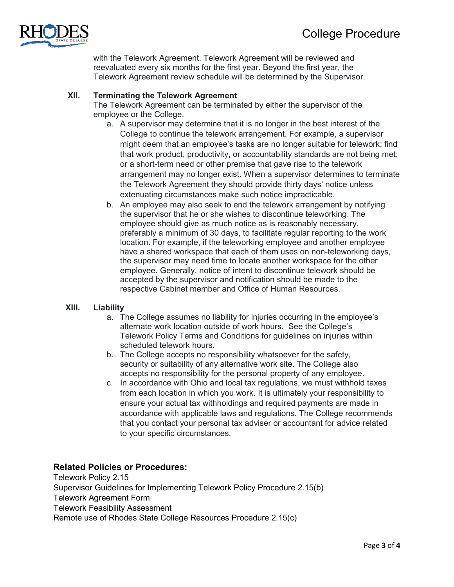

with the Telework Agreement. Telework Agreement will be reviewed and reevaluated every six months for the first year. Beyond the first year, the Telework Agreement review schedule will be determined by the Supervisor.

# **XII. Terminating the Telework Agreement**

The Telework Agreement can be terminated by either the supervisor of the employee or the College.

- a. A supervisor may determine that it is no longer in the best interest of the College to continue the telework arrangement. For example, a supervisor might deem that an employee's tasks are no longer suitable for telework; find that work product, productivity, or accountability standards are not being met; or a short-term need or other premise that gave rise to the telework arrangement may no longer exist. When a supervisor determines to terminate the Telework Agreement they should provide thirty days' notice unless extenuating circumstances make such notice impracticable.
- b. An employee may also seek to end the telework arrangement by notifying the supervisor that he or she wishes to discontinue teleworking. The employee should give as much notice as is reasonably necessary, preferably a minimum of 30 days, to facilitate regular reporting to the work location. For example, if the teleworking employee and another employee have a shared workspace that each of them uses on non-teleworking days, the supervisor may need time to locate another workspace for the other employee. Generally, notice of intent to discontinue telework should be accepted by the supervisor and notification should be made to the respective Cabinet member and Office of Human Resources.

# **XIII. Liability**

- a. The College assumes no liability for injuries occurring in the employee's alternate work location outside of work hours. See the College's Telework Policy Terms and Conditions for guidelines on injuries within scheduled telework hours.
- b. The College accepts no responsibility whatsoever for the safety, security or suitability of any alternative work site. The College also accepts no responsibility for the personal property of any employee.
- c. In accordance with Ohio and local tax regulations, we must withhold taxes from each location in which you work. It is ultimately your responsibility to ensure your actual tax withholdings and required payments are made in accordance with applicable laws and regulations. The College recommends that you contact your personal tax adviser or accountant for advice related to your specific circumstances.

# **Related Policies or Procedures:**

Telework Policy 2.15 Supervisor Guidelines for Implementing Telework Policy Procedure 2.15(b) Telework Agreement Form Telework Feasibility Assessment Remote use of Rhodes State College Resources Procedure 2.15(c)